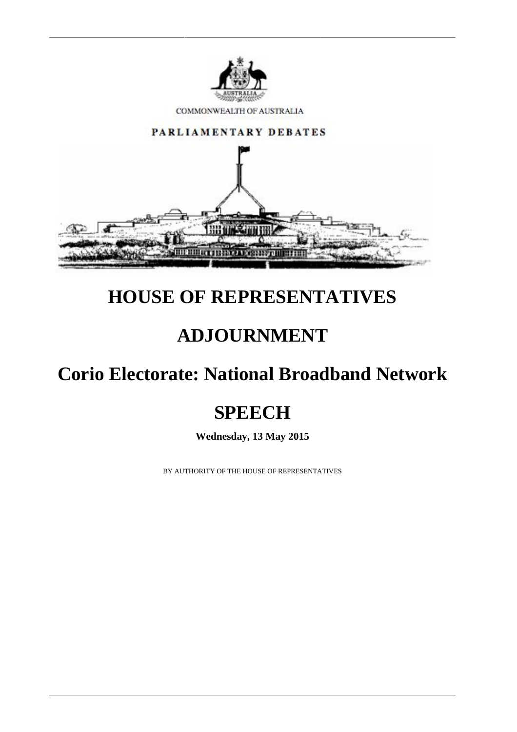

COMMONWEALTH OF AUSTRALIA



## **HOUSE OF REPRESENTATIVES**

## **ADJOURNMENT**

## **Corio Electorate: National Broadband Network**

# **SPEECH**

**Wednesday, 13 May 2015**

BY AUTHORITY OF THE HOUSE OF REPRESENTATIVES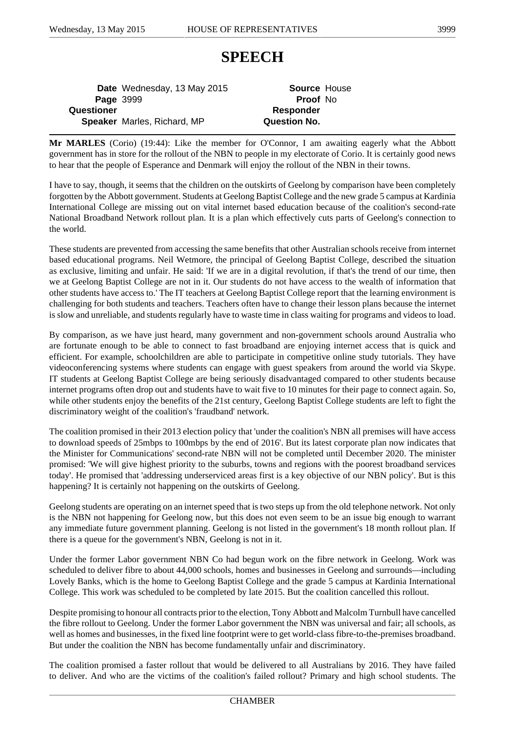### **SPEECH**

**Date** Wednesday, 13 May 2015 **Source** House **Page** 3999 **Proof** No **Questioner** *Responder* **Speaker** Marles, Richard, MP **Question No.**

**Mr MARLES** (Corio) (19:44): Like the member for O'Connor, I am awaiting eagerly what the Abbott government has in store for the rollout of the NBN to people in my electorate of Corio. It is certainly good news to hear that the people of Esperance and Denmark will enjoy the rollout of the NBN in their towns.

I have to say, though, it seems that the children on the outskirts of Geelong by comparison have been completely forgotten by the Abbott government. Students at Geelong Baptist College and the new grade 5 campus at Kardinia International College are missing out on vital internet based education because of the coalition's second-rate National Broadband Network rollout plan. It is a plan which effectively cuts parts of Geelong's connection to the world.

These students are prevented from accessing the same benefits that other Australian schools receive from internet based educational programs. Neil Wetmore, the principal of Geelong Baptist College, described the situation as exclusive, limiting and unfair. He said: 'If we are in a digital revolution, if that's the trend of our time, then we at Geelong Baptist College are not in it. Our students do not have access to the wealth of information that other students have access to.' The IT teachers at Geelong Baptist College report that the learning environment is challenging for both students and teachers. Teachers often have to change their lesson plans because the internet is slow and unreliable, and students regularly have to waste time in class waiting for programs and videos to load.

By comparison, as we have just heard, many government and non-government schools around Australia who are fortunate enough to be able to connect to fast broadband are enjoying internet access that is quick and efficient. For example, schoolchildren are able to participate in competitive online study tutorials. They have videoconferencing systems where students can engage with guest speakers from around the world via Skype. IT students at Geelong Baptist College are being seriously disadvantaged compared to other students because internet programs often drop out and students have to wait five to 10 minutes for their page to connect again. So, while other students enjoy the benefits of the 21st century, Geelong Baptist College students are left to fight the discriminatory weight of the coalition's 'fraudband' network.

The coalition promised in their 2013 election policy that 'under the coalition's NBN all premises will have access to download speeds of 25mbps to 100mbps by the end of 2016'. But its latest corporate plan now indicates that the Minister for Communications' second-rate NBN will not be completed until December 2020. The minister promised: 'We will give highest priority to the suburbs, towns and regions with the poorest broadband services today'. He promised that 'addressing underserviced areas first is a key objective of our NBN policy'. But is this happening? It is certainly not happening on the outskirts of Geelong.

Geelong students are operating on an internet speed that is two steps up from the old telephone network. Not only is the NBN not happening for Geelong now, but this does not even seem to be an issue big enough to warrant any immediate future government planning. Geelong is not listed in the government's 18 month rollout plan. If there is a queue for the government's NBN, Geelong is not in it.

Under the former Labor government NBN Co had begun work on the fibre network in Geelong. Work was scheduled to deliver fibre to about 44,000 schools, homes and businesses in Geelong and surrounds—including Lovely Banks, which is the home to Geelong Baptist College and the grade 5 campus at Kardinia International College. This work was scheduled to be completed by late 2015. But the coalition cancelled this rollout.

Despite promising to honour all contracts prior to the election, Tony Abbott and Malcolm Turnbull have cancelled the fibre rollout to Geelong. Under the former Labor government the NBN was universal and fair; all schools, as well as homes and businesses, in the fixed line footprint were to get world-class fibre-to-the-premises broadband. But under the coalition the NBN has become fundamentally unfair and discriminatory.

The coalition promised a faster rollout that would be delivered to all Australians by 2016. They have failed to deliver. And who are the victims of the coalition's failed rollout? Primary and high school students. The